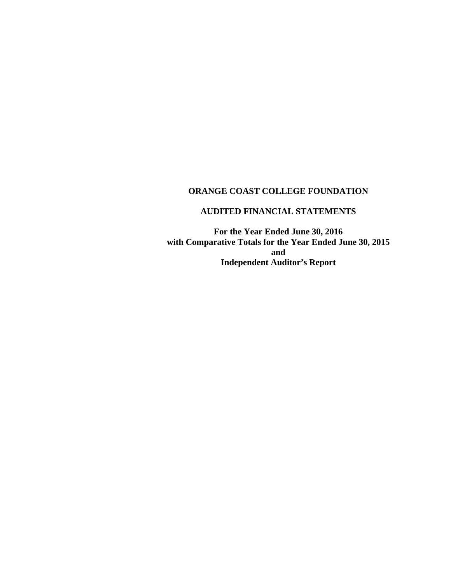# **AUDITED FINANCIAL STATEMENTS**

**For the Year Ended June 30, 2016 with Comparative Totals for the Year Ended June 30, 2015 and Independent Auditor's Report**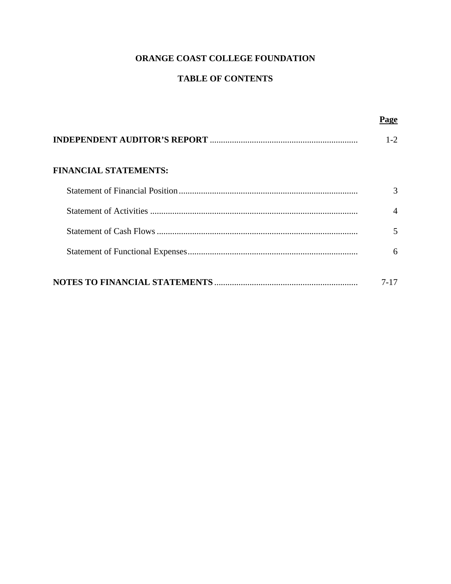# **TABLE OF CONTENTS**

|                              | Page           |
|------------------------------|----------------|
|                              | $1 - 2$        |
| <b>FINANCIAL STATEMENTS:</b> |                |
|                              | $\mathcal{R}$  |
|                              | $\overline{A}$ |
|                              | 5              |
|                              | 6              |
|                              | 7-17           |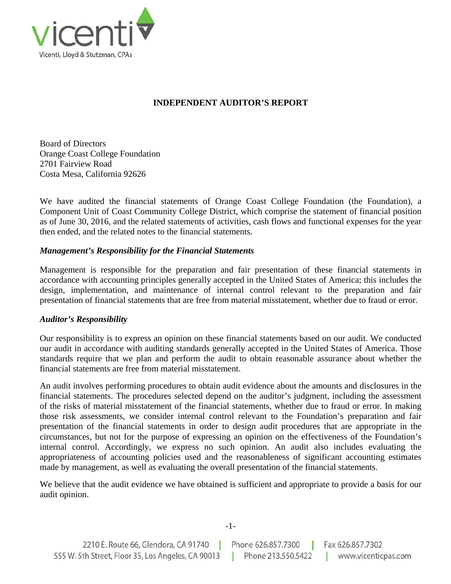

# **INDEPENDENT AUDITOR'S REPORT**

Board of Directors Orange Coast College Foundation 2701 Fairview Road Costa Mesa, California 92626

We have audited the financial statements of Orange Coast College Foundation (the Foundation), a Component Unit of Coast Community College District, which comprise the statement of financial position as of June 30, 2016, and the related statements of activities, cash flows and functional expenses for the year then ended, and the related notes to the financial statements.

# *Management's Responsibility for the Financial Statements*

Management is responsible for the preparation and fair presentation of these financial statements in accordance with accounting principles generally accepted in the United States of America; this includes the design, implementation, and maintenance of internal control relevant to the preparation and fair presentation of financial statements that are free from material misstatement, whether due to fraud or error.

# *Auditor's Responsibility*

Our responsibility is to express an opinion on these financial statements based on our audit. We conducted our audit in accordance with auditing standards generally accepted in the United States of America. Those standards require that we plan and perform the audit to obtain reasonable assurance about whether the financial statements are free from material misstatement.

An audit involves performing procedures to obtain audit evidence about the amounts and disclosures in the financial statements. The procedures selected depend on the auditor's judgment, including the assessment of the risks of material misstatement of the financial statements, whether due to fraud or error. In making those risk assessments, we consider internal control relevant to the Foundation's preparation and fair presentation of the financial statements in order to design audit procedures that are appropriate in the circumstances, but not for the purpose of expressing an opinion on the effectiveness of the Foundation's internal control. Accordingly, we express no such opinion. An audit also includes evaluating the appropriateness of accounting policies used and the reasonableness of significant accounting estimates made by management, as well as evaluating the overall presentation of the financial statements.

We believe that the audit evidence we have obtained is sufficient and appropriate to provide a basis for our audit opinion.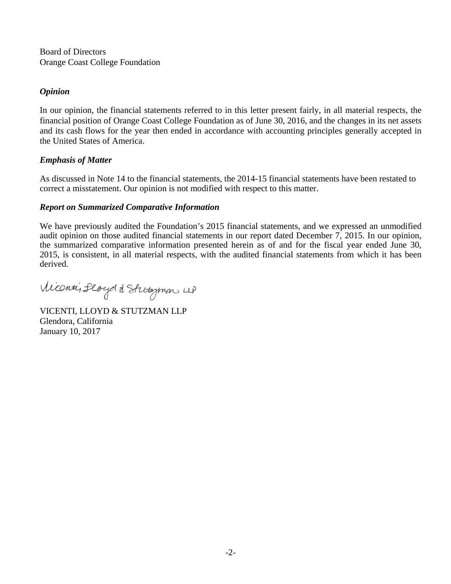Board of Directors Orange Coast College Foundation

### *Opinion*

In our opinion, the financial statements referred to in this letter present fairly, in all material respects, the financial position of Orange Coast College Foundation as of June 30, 2016, and the changes in its net assets and its cash flows for the year then ended in accordance with accounting principles generally accepted in the United States of America.

### *Emphasis of Matter*

As discussed in Note 14 to the financial statements, the 2014-15 financial statements have been restated to correct a misstatement. Our opinion is not modified with respect to this matter.

### *Report on Summarized Comparative Information*

We have previously audited the Foundation's 2015 financial statements, and we expressed an unmodified audit opinion on those audited financial statements in our report dated December 7, 2015. In our opinion, the summarized comparative information presented herein as of and for the fiscal year ended June 30, 2015, is consistent, in all material respects, with the audited financial statements from which it has been derived.

Viconti, floydd Stutyman 4)

VICENTI, LLOYD & STUTZMAN LLP Glendora, California January 10, 2017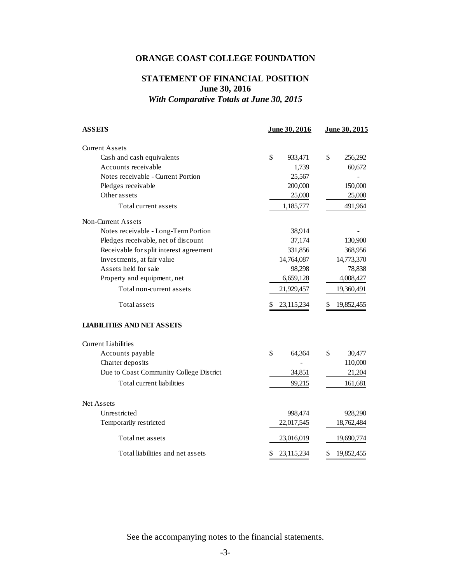# **STATEMENT OF FINANCIAL POSITION June 30, 2016**  *With Comparative Totals at June 30, 2015*

| <b>ASSETS</b>                           | June 30, 2016            | June 30, 2015    |
|-----------------------------------------|--------------------------|------------------|
| <b>Current Assets</b>                   |                          |                  |
| Cash and cash equivalents               | $\mathsf{\$}$<br>933,471 | \$<br>256,292    |
| Accounts receivable                     | 1,739                    | 60,672           |
| Notes receivable - Current Portion      | 25,567                   |                  |
| Pledges receivable                      | 200,000                  | 150,000          |
| Other assets                            | 25,000                   | 25,000           |
| Total current assets                    | 1,185,777                | 491,964          |
| Non-Current Assets                      |                          |                  |
| Notes receivable - Long-Term Portion    | 38,914                   |                  |
| Pledges receivable, net of discount     | 37,174                   | 130,900          |
| Receivable for split interest agreement | 331,856                  | 368,956          |
| Investments, at fair value              | 14,764,087               | 14,773,370       |
| Assets held for sale                    | 98,298                   | 78,838           |
| Property and equipment, net             | 6,659,128                | 4,008,427        |
| Total non-current assets                | 21,929,457               | 19,360,491       |
| Total assets                            | 23,115,234<br>S.         | 19,852,455<br>\$ |
| <b>LIABILITIES AND NET ASSETS</b>       |                          |                  |
| <b>Current Liabilities</b>              |                          |                  |
| Accounts payable                        | \$<br>64,364             | \$<br>30,477     |
| Charter deposits                        |                          | 110,000          |
| Due to Coast Community College District | 34,851                   | 21,204           |
| Total current liabilities               | 99,215                   | 161,681          |
| Net Assets                              |                          |                  |
| Unrestricted                            | 998,474                  | 928,290          |
| Temporarily restricted                  | 22,017,545               | 18,762,484       |
| Total net assets                        | 23,016,019               | 19,690,774       |
| Total liabilities and net assets        | \$<br>23,115,234         | \$<br>19,852,455 |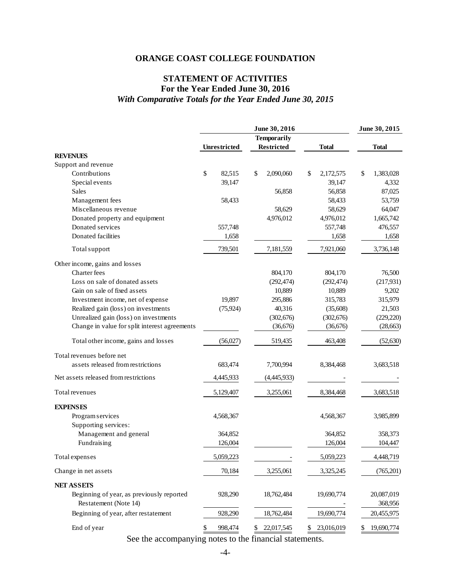# **STATEMENT OF ACTIVITIES For the Year Ended June 30, 2016**  *With Comparative Totals for the Year Ended June 30, 2015*

| <b>Temporarily</b><br><b>Restricted</b><br><b>Total</b><br><b>Total</b><br>Unrestricted<br><b>REVENUES</b><br>Support and revenue<br>\$<br>Contributions<br>82,515<br>\$<br>\$<br>2,090,060<br>\$<br>2,172,575<br>1,383,028<br>39,147<br>Special events<br>39,147<br>4,332<br>Sales<br>87,025<br>56,858<br>56,858<br>Management fees<br>58,433<br>58,433<br>53,759<br>Miscellaneous revenue<br>64,047<br>58,629<br>58,629<br>4,976,012<br>Donated property and equipment<br>4,976,012<br>1,665,742<br>Donated services<br>557,748<br>557,748<br>476,557<br>Donated facilities<br>1,658<br>1,658<br>1,658<br>7,181,559<br>7,921,060<br>739,501<br>3,736,148<br>Total support<br>Other income, gains and losses<br>Charter fees<br>76,500<br>804,170<br>804,170<br>Loss on sale of donated assets<br>(217, 931)<br>(292, 474)<br>(292, 474)<br>Gain on sale of fixed assets<br>10,889<br>10,889<br>9,202<br>19,897<br>295,886<br>315,979<br>Investment income, net of expense<br>315,783<br>Realized gain (loss) on investments<br>(75, 924)<br>40,316<br>(35,608)<br>21,503<br>Unrealized gain (loss) on investments<br>(302, 676)<br>(302, 676)<br>(229, 220)<br>Change in value for split interest agreements<br>(36,676)<br>(28, 663)<br>(36,676)<br>Total other income, gains and losses<br>(56,027)<br>463,408<br>(52, 630)<br>519,435<br>Total revenues before net<br>assets released from restrictions<br>8,384,468<br>3,683,518<br>683,474<br>7,700,994<br>Net assets released from restrictions<br>4,445,933<br>(4,445,933)<br>Total revenues<br>5,129,407<br>3,255,061<br>8,384,468<br>3,683,518<br><b>EXPENSES</b><br>Program services<br>4,568,367<br>3,985,899<br>4,568,367<br>Supporting services:<br>Management and general<br>364,852<br>364,852<br>358,373<br>Fundraising<br>126,004<br>126,004<br>104,447<br>Total expenses<br>5,059,223<br>5,059,223<br>4,448,719<br>3,255,061<br>3,325,245<br>(765, 201)<br>Change in net assets<br>70,184<br><b>NET ASSETS</b><br>Beginning of year, as previously reported<br>18,762,484<br>19,690,774<br>20,087,019<br>928,290<br>Restatement (Note 14)<br>368,956<br>Beginning of year, after restatement<br>928,290<br>19,690,774<br>18,762,484<br>20,455,975 |             |               | June 30, 2015    |                  |                  |
|-----------------------------------------------------------------------------------------------------------------------------------------------------------------------------------------------------------------------------------------------------------------------------------------------------------------------------------------------------------------------------------------------------------------------------------------------------------------------------------------------------------------------------------------------------------------------------------------------------------------------------------------------------------------------------------------------------------------------------------------------------------------------------------------------------------------------------------------------------------------------------------------------------------------------------------------------------------------------------------------------------------------------------------------------------------------------------------------------------------------------------------------------------------------------------------------------------------------------------------------------------------------------------------------------------------------------------------------------------------------------------------------------------------------------------------------------------------------------------------------------------------------------------------------------------------------------------------------------------------------------------------------------------------------------------------------------------------------------------------------------------------------------------------------------------------------------------------------------------------------------------------------------------------------------------------------------------------------------------------------------------------------------------------------------------------------------------------------------------------------------------------------------------------------------------------------------------------------------|-------------|---------------|------------------|------------------|------------------|
|                                                                                                                                                                                                                                                                                                                                                                                                                                                                                                                                                                                                                                                                                                                                                                                                                                                                                                                                                                                                                                                                                                                                                                                                                                                                                                                                                                                                                                                                                                                                                                                                                                                                                                                                                                                                                                                                                                                                                                                                                                                                                                                                                                                                                       |             |               |                  |                  |                  |
|                                                                                                                                                                                                                                                                                                                                                                                                                                                                                                                                                                                                                                                                                                                                                                                                                                                                                                                                                                                                                                                                                                                                                                                                                                                                                                                                                                                                                                                                                                                                                                                                                                                                                                                                                                                                                                                                                                                                                                                                                                                                                                                                                                                                                       |             |               |                  |                  |                  |
|                                                                                                                                                                                                                                                                                                                                                                                                                                                                                                                                                                                                                                                                                                                                                                                                                                                                                                                                                                                                                                                                                                                                                                                                                                                                                                                                                                                                                                                                                                                                                                                                                                                                                                                                                                                                                                                                                                                                                                                                                                                                                                                                                                                                                       |             |               |                  |                  |                  |
|                                                                                                                                                                                                                                                                                                                                                                                                                                                                                                                                                                                                                                                                                                                                                                                                                                                                                                                                                                                                                                                                                                                                                                                                                                                                                                                                                                                                                                                                                                                                                                                                                                                                                                                                                                                                                                                                                                                                                                                                                                                                                                                                                                                                                       |             |               |                  |                  |                  |
|                                                                                                                                                                                                                                                                                                                                                                                                                                                                                                                                                                                                                                                                                                                                                                                                                                                                                                                                                                                                                                                                                                                                                                                                                                                                                                                                                                                                                                                                                                                                                                                                                                                                                                                                                                                                                                                                                                                                                                                                                                                                                                                                                                                                                       |             |               |                  |                  |                  |
|                                                                                                                                                                                                                                                                                                                                                                                                                                                                                                                                                                                                                                                                                                                                                                                                                                                                                                                                                                                                                                                                                                                                                                                                                                                                                                                                                                                                                                                                                                                                                                                                                                                                                                                                                                                                                                                                                                                                                                                                                                                                                                                                                                                                                       |             |               |                  |                  |                  |
|                                                                                                                                                                                                                                                                                                                                                                                                                                                                                                                                                                                                                                                                                                                                                                                                                                                                                                                                                                                                                                                                                                                                                                                                                                                                                                                                                                                                                                                                                                                                                                                                                                                                                                                                                                                                                                                                                                                                                                                                                                                                                                                                                                                                                       |             |               |                  |                  |                  |
|                                                                                                                                                                                                                                                                                                                                                                                                                                                                                                                                                                                                                                                                                                                                                                                                                                                                                                                                                                                                                                                                                                                                                                                                                                                                                                                                                                                                                                                                                                                                                                                                                                                                                                                                                                                                                                                                                                                                                                                                                                                                                                                                                                                                                       |             |               |                  |                  |                  |
|                                                                                                                                                                                                                                                                                                                                                                                                                                                                                                                                                                                                                                                                                                                                                                                                                                                                                                                                                                                                                                                                                                                                                                                                                                                                                                                                                                                                                                                                                                                                                                                                                                                                                                                                                                                                                                                                                                                                                                                                                                                                                                                                                                                                                       |             |               |                  |                  |                  |
|                                                                                                                                                                                                                                                                                                                                                                                                                                                                                                                                                                                                                                                                                                                                                                                                                                                                                                                                                                                                                                                                                                                                                                                                                                                                                                                                                                                                                                                                                                                                                                                                                                                                                                                                                                                                                                                                                                                                                                                                                                                                                                                                                                                                                       |             |               |                  |                  |                  |
|                                                                                                                                                                                                                                                                                                                                                                                                                                                                                                                                                                                                                                                                                                                                                                                                                                                                                                                                                                                                                                                                                                                                                                                                                                                                                                                                                                                                                                                                                                                                                                                                                                                                                                                                                                                                                                                                                                                                                                                                                                                                                                                                                                                                                       |             |               |                  |                  |                  |
|                                                                                                                                                                                                                                                                                                                                                                                                                                                                                                                                                                                                                                                                                                                                                                                                                                                                                                                                                                                                                                                                                                                                                                                                                                                                                                                                                                                                                                                                                                                                                                                                                                                                                                                                                                                                                                                                                                                                                                                                                                                                                                                                                                                                                       |             |               |                  |                  |                  |
|                                                                                                                                                                                                                                                                                                                                                                                                                                                                                                                                                                                                                                                                                                                                                                                                                                                                                                                                                                                                                                                                                                                                                                                                                                                                                                                                                                                                                                                                                                                                                                                                                                                                                                                                                                                                                                                                                                                                                                                                                                                                                                                                                                                                                       |             |               |                  |                  |                  |
|                                                                                                                                                                                                                                                                                                                                                                                                                                                                                                                                                                                                                                                                                                                                                                                                                                                                                                                                                                                                                                                                                                                                                                                                                                                                                                                                                                                                                                                                                                                                                                                                                                                                                                                                                                                                                                                                                                                                                                                                                                                                                                                                                                                                                       |             |               |                  |                  |                  |
|                                                                                                                                                                                                                                                                                                                                                                                                                                                                                                                                                                                                                                                                                                                                                                                                                                                                                                                                                                                                                                                                                                                                                                                                                                                                                                                                                                                                                                                                                                                                                                                                                                                                                                                                                                                                                                                                                                                                                                                                                                                                                                                                                                                                                       |             |               |                  |                  |                  |
|                                                                                                                                                                                                                                                                                                                                                                                                                                                                                                                                                                                                                                                                                                                                                                                                                                                                                                                                                                                                                                                                                                                                                                                                                                                                                                                                                                                                                                                                                                                                                                                                                                                                                                                                                                                                                                                                                                                                                                                                                                                                                                                                                                                                                       |             |               |                  |                  |                  |
|                                                                                                                                                                                                                                                                                                                                                                                                                                                                                                                                                                                                                                                                                                                                                                                                                                                                                                                                                                                                                                                                                                                                                                                                                                                                                                                                                                                                                                                                                                                                                                                                                                                                                                                                                                                                                                                                                                                                                                                                                                                                                                                                                                                                                       |             |               |                  |                  |                  |
|                                                                                                                                                                                                                                                                                                                                                                                                                                                                                                                                                                                                                                                                                                                                                                                                                                                                                                                                                                                                                                                                                                                                                                                                                                                                                                                                                                                                                                                                                                                                                                                                                                                                                                                                                                                                                                                                                                                                                                                                                                                                                                                                                                                                                       |             |               |                  |                  |                  |
|                                                                                                                                                                                                                                                                                                                                                                                                                                                                                                                                                                                                                                                                                                                                                                                                                                                                                                                                                                                                                                                                                                                                                                                                                                                                                                                                                                                                                                                                                                                                                                                                                                                                                                                                                                                                                                                                                                                                                                                                                                                                                                                                                                                                                       |             |               |                  |                  |                  |
|                                                                                                                                                                                                                                                                                                                                                                                                                                                                                                                                                                                                                                                                                                                                                                                                                                                                                                                                                                                                                                                                                                                                                                                                                                                                                                                                                                                                                                                                                                                                                                                                                                                                                                                                                                                                                                                                                                                                                                                                                                                                                                                                                                                                                       |             |               |                  |                  |                  |
|                                                                                                                                                                                                                                                                                                                                                                                                                                                                                                                                                                                                                                                                                                                                                                                                                                                                                                                                                                                                                                                                                                                                                                                                                                                                                                                                                                                                                                                                                                                                                                                                                                                                                                                                                                                                                                                                                                                                                                                                                                                                                                                                                                                                                       |             |               |                  |                  |                  |
|                                                                                                                                                                                                                                                                                                                                                                                                                                                                                                                                                                                                                                                                                                                                                                                                                                                                                                                                                                                                                                                                                                                                                                                                                                                                                                                                                                                                                                                                                                                                                                                                                                                                                                                                                                                                                                                                                                                                                                                                                                                                                                                                                                                                                       |             |               |                  |                  |                  |
|                                                                                                                                                                                                                                                                                                                                                                                                                                                                                                                                                                                                                                                                                                                                                                                                                                                                                                                                                                                                                                                                                                                                                                                                                                                                                                                                                                                                                                                                                                                                                                                                                                                                                                                                                                                                                                                                                                                                                                                                                                                                                                                                                                                                                       |             |               |                  |                  |                  |
|                                                                                                                                                                                                                                                                                                                                                                                                                                                                                                                                                                                                                                                                                                                                                                                                                                                                                                                                                                                                                                                                                                                                                                                                                                                                                                                                                                                                                                                                                                                                                                                                                                                                                                                                                                                                                                                                                                                                                                                                                                                                                                                                                                                                                       |             |               |                  |                  |                  |
|                                                                                                                                                                                                                                                                                                                                                                                                                                                                                                                                                                                                                                                                                                                                                                                                                                                                                                                                                                                                                                                                                                                                                                                                                                                                                                                                                                                                                                                                                                                                                                                                                                                                                                                                                                                                                                                                                                                                                                                                                                                                                                                                                                                                                       |             |               |                  |                  |                  |
|                                                                                                                                                                                                                                                                                                                                                                                                                                                                                                                                                                                                                                                                                                                                                                                                                                                                                                                                                                                                                                                                                                                                                                                                                                                                                                                                                                                                                                                                                                                                                                                                                                                                                                                                                                                                                                                                                                                                                                                                                                                                                                                                                                                                                       |             |               |                  |                  |                  |
|                                                                                                                                                                                                                                                                                                                                                                                                                                                                                                                                                                                                                                                                                                                                                                                                                                                                                                                                                                                                                                                                                                                                                                                                                                                                                                                                                                                                                                                                                                                                                                                                                                                                                                                                                                                                                                                                                                                                                                                                                                                                                                                                                                                                                       |             |               |                  |                  |                  |
|                                                                                                                                                                                                                                                                                                                                                                                                                                                                                                                                                                                                                                                                                                                                                                                                                                                                                                                                                                                                                                                                                                                                                                                                                                                                                                                                                                                                                                                                                                                                                                                                                                                                                                                                                                                                                                                                                                                                                                                                                                                                                                                                                                                                                       |             |               |                  |                  |                  |
|                                                                                                                                                                                                                                                                                                                                                                                                                                                                                                                                                                                                                                                                                                                                                                                                                                                                                                                                                                                                                                                                                                                                                                                                                                                                                                                                                                                                                                                                                                                                                                                                                                                                                                                                                                                                                                                                                                                                                                                                                                                                                                                                                                                                                       |             |               |                  |                  |                  |
|                                                                                                                                                                                                                                                                                                                                                                                                                                                                                                                                                                                                                                                                                                                                                                                                                                                                                                                                                                                                                                                                                                                                                                                                                                                                                                                                                                                                                                                                                                                                                                                                                                                                                                                                                                                                                                                                                                                                                                                                                                                                                                                                                                                                                       |             |               |                  |                  |                  |
|                                                                                                                                                                                                                                                                                                                                                                                                                                                                                                                                                                                                                                                                                                                                                                                                                                                                                                                                                                                                                                                                                                                                                                                                                                                                                                                                                                                                                                                                                                                                                                                                                                                                                                                                                                                                                                                                                                                                                                                                                                                                                                                                                                                                                       |             |               |                  |                  |                  |
|                                                                                                                                                                                                                                                                                                                                                                                                                                                                                                                                                                                                                                                                                                                                                                                                                                                                                                                                                                                                                                                                                                                                                                                                                                                                                                                                                                                                                                                                                                                                                                                                                                                                                                                                                                                                                                                                                                                                                                                                                                                                                                                                                                                                                       |             |               |                  |                  |                  |
|                                                                                                                                                                                                                                                                                                                                                                                                                                                                                                                                                                                                                                                                                                                                                                                                                                                                                                                                                                                                                                                                                                                                                                                                                                                                                                                                                                                                                                                                                                                                                                                                                                                                                                                                                                                                                                                                                                                                                                                                                                                                                                                                                                                                                       |             |               |                  |                  |                  |
|                                                                                                                                                                                                                                                                                                                                                                                                                                                                                                                                                                                                                                                                                                                                                                                                                                                                                                                                                                                                                                                                                                                                                                                                                                                                                                                                                                                                                                                                                                                                                                                                                                                                                                                                                                                                                                                                                                                                                                                                                                                                                                                                                                                                                       |             |               |                  |                  |                  |
|                                                                                                                                                                                                                                                                                                                                                                                                                                                                                                                                                                                                                                                                                                                                                                                                                                                                                                                                                                                                                                                                                                                                                                                                                                                                                                                                                                                                                                                                                                                                                                                                                                                                                                                                                                                                                                                                                                                                                                                                                                                                                                                                                                                                                       |             |               |                  |                  |                  |
|                                                                                                                                                                                                                                                                                                                                                                                                                                                                                                                                                                                                                                                                                                                                                                                                                                                                                                                                                                                                                                                                                                                                                                                                                                                                                                                                                                                                                                                                                                                                                                                                                                                                                                                                                                                                                                                                                                                                                                                                                                                                                                                                                                                                                       |             |               |                  |                  |                  |
|                                                                                                                                                                                                                                                                                                                                                                                                                                                                                                                                                                                                                                                                                                                                                                                                                                                                                                                                                                                                                                                                                                                                                                                                                                                                                                                                                                                                                                                                                                                                                                                                                                                                                                                                                                                                                                                                                                                                                                                                                                                                                                                                                                                                                       |             |               |                  |                  |                  |
|                                                                                                                                                                                                                                                                                                                                                                                                                                                                                                                                                                                                                                                                                                                                                                                                                                                                                                                                                                                                                                                                                                                                                                                                                                                                                                                                                                                                                                                                                                                                                                                                                                                                                                                                                                                                                                                                                                                                                                                                                                                                                                                                                                                                                       | End of year | 998,474<br>\$ | 22,017,545<br>\$ | 23,016,019<br>\$ | 19,690,774<br>\$ |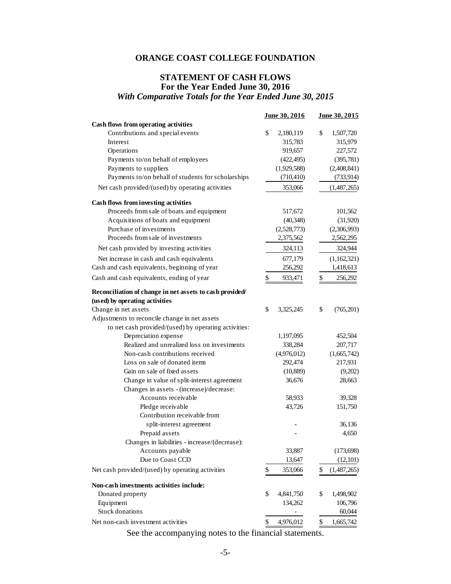#### **STATEMENT OF CASH FLOWS For the Year Ended June 30, 2016**  *With Comparative Totals for the Year Ended June 30, 2015*

|                                                          | June 30, 2016   | June 30, 2015     |
|----------------------------------------------------------|-----------------|-------------------|
| Cash flows from operating activities                     |                 |                   |
| Contributions and special events                         | \$<br>2,180,119 | \$<br>1,507,720   |
| Interest                                                 | 315,783         | 315,979           |
| Operations                                               | 919,657         | 227,572           |
| Payments to/on behalf of employees                       | (422, 495)      | (395, 781)        |
| Payments to suppliers                                    | (1,929,588)     | (2,408,841)       |
| Payments to/on behalf of students for scholarships       | (710, 410)      | (733, 914)        |
| Net cash provided/(used) by operating activities         | 353,066         | (1,487,265)       |
| Cash flows from investing activities                     |                 |                   |
| Proceeds from sale of boats and equipment                | 517,672         | 101,562           |
| Acquisitions of boats and equipment                      | (40, 348)       | (31,920)          |
| Purchase of investments                                  | (2,528,773)     | (2,306,993)       |
| Proceeds from sale of investments                        | 2,375,562       | 2,562,295         |
| Net cash provided by investing activities                | 324,113         | 324,944           |
| Net increase in cash and cash equivalents                | 677,179         | (1,162,321)       |
| Cash and cash equivalents, beginning of year             | 256,292         | 1,418,613         |
| Cash and cash equivalents, ending of year                | \$<br>933,471   | \$<br>256,292     |
| Reconciliation of change in net assets to cash provided/ |                 |                   |
| (used) by operating activities                           |                 |                   |
| Change in net assets                                     | \$<br>3,325,245 | \$<br>(765, 201)  |
| Adjustments to reconcile change in net assets            |                 |                   |
| to net cash provided/(used) by operating activities:     |                 |                   |
| Depreciation expense                                     | 1,197,095       | 452,504           |
| Realized and unrealized loss on investments              | 338,284         | 207,717           |
| Non-cash contributions received                          | (4,976,012)     | (1,665,742)       |
| Loss on sale of donated items                            | 292,474         | 217,931           |
| Gain on sale of fixed assets                             | (10,889)        | (9,202)           |
| Change in value of split-interest agreement              | 36,676          | 28,663            |
| Changes in assets - (increase)/decrease:                 |                 |                   |
| Accounts receivable                                      | 58,933          | 39,328            |
| Pledge receivable                                        | 43,726          | 151,750           |
| Contribution receivable from                             |                 |                   |
| split-interest agreement                                 |                 | 36,136            |
| Prepaid assets                                           |                 | 4,650             |
| Changes in liabilities - increase/(decrease):            |                 |                   |
| Accounts payable                                         | 33,887          | (173, 698)        |
| Due to Coast CCD                                         | 13,647          | (12,101)          |
| Net cash provided/(used) by operating activities         | \$<br>353,066   | \$<br>(1,487,265) |
| Non-cash investments activities include:                 |                 |                   |
| Donated property                                         | \$<br>4,841,750 | \$<br>1,498,902   |
| Equipment                                                | 134,262         | 106,796           |
| Stock donations                                          |                 | 60,044            |
| Net non-cash investment activities                       | 4,976,012<br>\$ | 1,665,742<br>\$   |
|                                                          |                 |                   |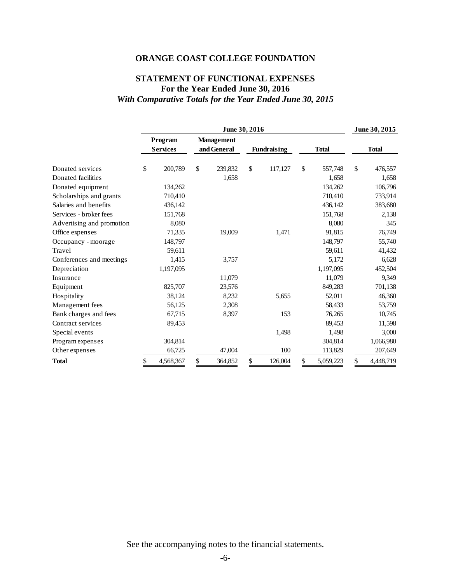# **STATEMENT OF FUNCTIONAL EXPENSES For the Year Ended June 30, 2016**  *With Comparative Totals for the Year Ended June 30, 2015*

|                           | June 30, 2016 |                            |    |                                  |    |                    |    | June 30, 2015 |    |              |
|---------------------------|---------------|----------------------------|----|----------------------------------|----|--------------------|----|---------------|----|--------------|
|                           |               | Program<br><b>Services</b> |    | <b>Management</b><br>and General |    | <b>Fundraising</b> |    | <b>Total</b>  |    | <b>Total</b> |
| Donated services          | \$            | 200,789                    | \$ | 239,832                          | \$ | 117,127            | \$ | 557,748       | \$ | 476,557      |
| Donated facilities        |               |                            |    | 1,658                            |    |                    |    | 1,658         |    | 1,658        |
| Donated equipment         |               | 134,262                    |    |                                  |    |                    |    | 134,262       |    | 106,796      |
| Scholarships and grants   |               | 710,410                    |    |                                  |    |                    |    | 710,410       |    | 733,914      |
| Salaries and benefits     |               | 436,142                    |    |                                  |    |                    |    | 436,142       |    | 383,680      |
| Services - broker fees    |               | 151,768                    |    |                                  |    |                    |    | 151,768       |    | 2,138        |
| Advertising and promotion |               | 8,080                      |    |                                  |    |                    |    | 8,080         |    | 345          |
| Office expenses           |               | 71,335                     |    | 19,009                           |    | 1,471              |    | 91,815        |    | 76,749       |
| Occupancy - moorage       |               | 148,797                    |    |                                  |    |                    |    | 148,797       |    | 55,740       |
| Travel                    |               | 59,611                     |    |                                  |    |                    |    | 59,611        |    | 41,432       |
| Conferences and meetings  |               | 1,415                      |    | 3,757                            |    |                    |    | 5,172         |    | 6,628        |
| Depreciation              |               | 1,197,095                  |    |                                  |    |                    |    | 1,197,095     |    | 452,504      |
| Insurance                 |               |                            |    | 11,079                           |    |                    |    | 11,079        |    | 9,349        |
| Equipment                 |               | 825,707                    |    | 23,576                           |    |                    |    | 849,283       |    | 701,138      |
| Hospitality               |               | 38,124                     |    | 8,232                            |    | 5,655              |    | 52,011        |    | 46,360       |
| Management fees           |               | 56,125                     |    | 2,308                            |    |                    |    | 58,433        |    | 53,759       |
| Bank charges and fees     |               | 67,715                     |    | 8,397                            |    | 153                |    | 76,265        |    | 10,745       |
| Contract services         |               | 89,453                     |    |                                  |    |                    |    | 89,453        |    | 11,598       |
| Special events            |               |                            |    |                                  |    | 1,498              |    | 1,498         |    | 3,000        |
| Program expenses          |               | 304,814                    |    |                                  |    |                    |    | 304,814       |    | 1,066,980    |
| Other expenses            |               | 66,725                     |    | 47,004                           |    | 100                |    | 113,829       |    | 207,649      |
| <b>Total</b>              | \$            | 4,568,367                  | \$ | 364,852                          | \$ | 126,004            | \$ | 5,059,223     | \$ | 4,448,719    |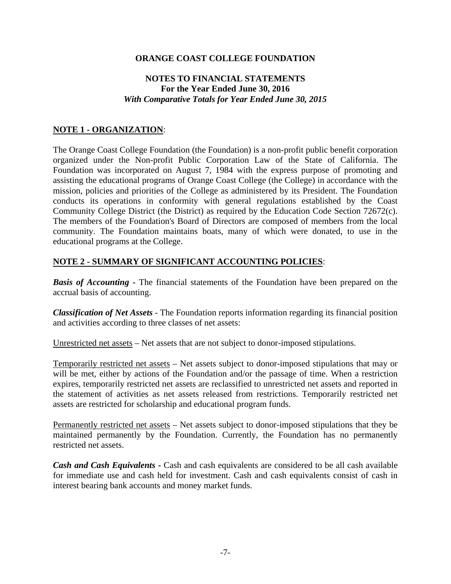# **NOTES TO FINANCIAL STATEMENTS For the Year Ended June 30, 2016**  *With Comparative Totals for Year Ended June 30, 2015*

# **NOTE 1 - ORGANIZATION**:

The Orange Coast College Foundation (the Foundation) is a non-profit public benefit corporation organized under the Non-profit Public Corporation Law of the State of California. The Foundation was incorporated on August 7, 1984 with the express purpose of promoting and assisting the educational programs of Orange Coast College (the College) in accordance with the mission, policies and priorities of the College as administered by its President. The Foundation conducts its operations in conformity with general regulations established by the Coast Community College District (the District) as required by the Education Code Section 72672(c). The members of the Foundation's Board of Directors are composed of members from the local community. The Foundation maintains boats, many of which were donated, to use in the educational programs at the College.

#### **NOTE 2 - SUMMARY OF SIGNIFICANT ACCOUNTING POLICIES**:

**Basis of Accounting** - The financial statements of the Foundation have been prepared on the accrual basis of accounting.

*Classification of Net Assets* - The Foundation reports information regarding its financial position and activities according to three classes of net assets:

Unrestricted net assets – Net assets that are not subject to donor-imposed stipulations.

Temporarily restricted net assets – Net assets subject to donor-imposed stipulations that may or will be met, either by actions of the Foundation and/or the passage of time. When a restriction expires, temporarily restricted net assets are reclassified to unrestricted net assets and reported in the statement of activities as net assets released from restrictions. Temporarily restricted net assets are restricted for scholarship and educational program funds.

Permanently restricted net assets – Net assets subject to donor-imposed stipulations that they be maintained permanently by the Foundation. Currently, the Foundation has no permanently restricted net assets.

*Cash and Cash Equivalents* - Cash and cash equivalents are considered to be all cash available for immediate use and cash held for investment. Cash and cash equivalents consist of cash in interest bearing bank accounts and money market funds.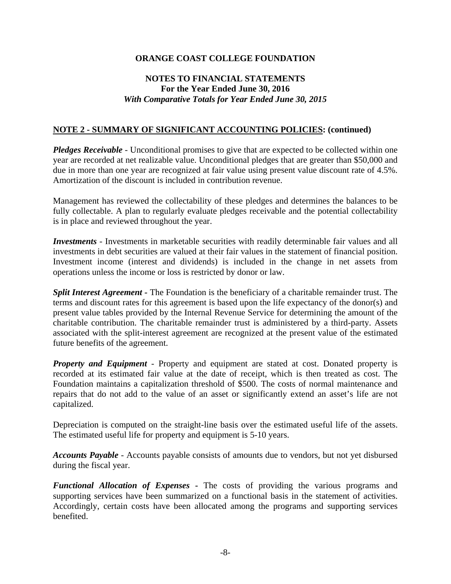# **NOTES TO FINANCIAL STATEMENTS For the Year Ended June 30, 2016**  *With Comparative Totals for Year Ended June 30, 2015*

### **NOTE 2 - SUMMARY OF SIGNIFICANT ACCOUNTING POLICIES: (continued)**

*Pledges Receivable* - Unconditional promises to give that are expected to be collected within one year are recorded at net realizable value. Unconditional pledges that are greater than \$50,000 and due in more than one year are recognized at fair value using present value discount rate of 4.5%. Amortization of the discount is included in contribution revenue.

Management has reviewed the collectability of these pledges and determines the balances to be fully collectable. A plan to regularly evaluate pledges receivable and the potential collectability is in place and reviewed throughout the year.

*Investments* - Investments in marketable securities with readily determinable fair values and all investments in debt securities are valued at their fair values in the statement of financial position. Investment income (interest and dividends) is included in the change in net assets from operations unless the income or loss is restricted by donor or law.

*Split Interest Agreement - The Foundation is the beneficiary of a charitable remainder trust. The* terms and discount rates for this agreement is based upon the life expectancy of the donor(s) and present value tables provided by the Internal Revenue Service for determining the amount of the charitable contribution. The charitable remainder trust is administered by a third-party. Assets associated with the split-interest agreement are recognized at the present value of the estimated future benefits of the agreement.

*Property and Equipment* - Property and equipment are stated at cost. Donated property is recorded at its estimated fair value at the date of receipt, which is then treated as cost. The Foundation maintains a capitalization threshold of \$500. The costs of normal maintenance and repairs that do not add to the value of an asset or significantly extend an asset's life are not capitalized.

Depreciation is computed on the straight-line basis over the estimated useful life of the assets. The estimated useful life for property and equipment is 5-10 years.

*Accounts Payable* - Accounts payable consists of amounts due to vendors, but not yet disbursed during the fiscal year.

*Functional Allocation of Expenses* - The costs of providing the various programs and supporting services have been summarized on a functional basis in the statement of activities. Accordingly, certain costs have been allocated among the programs and supporting services benefited.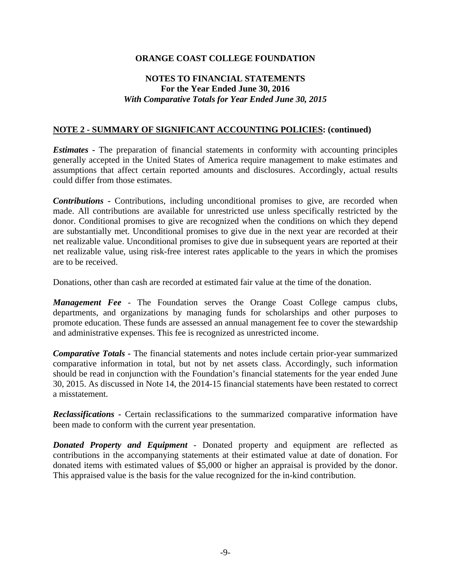# **NOTES TO FINANCIAL STATEMENTS For the Year Ended June 30, 2016**  *With Comparative Totals for Year Ended June 30, 2015*

#### **NOTE 2 - SUMMARY OF SIGNIFICANT ACCOUNTING POLICIES: (continued)**

*Estimates* **-** The preparation of financial statements in conformity with accounting principles generally accepted in the United States of America require management to make estimates and assumptions that affect certain reported amounts and disclosures. Accordingly, actual results could differ from those estimates.

**Contributions** - Contributions, including unconditional promises to give, are recorded when made. All contributions are available for unrestricted use unless specifically restricted by the donor. Conditional promises to give are recognized when the conditions on which they depend are substantially met. Unconditional promises to give due in the next year are recorded at their net realizable value. Unconditional promises to give due in subsequent years are reported at their net realizable value, using risk-free interest rates applicable to the years in which the promises are to be received.

Donations, other than cash are recorded at estimated fair value at the time of the donation.

*Management Fee* - The Foundation serves the Orange Coast College campus clubs, departments, and organizations by managing funds for scholarships and other purposes to promote education. These funds are assessed an annual management fee to cover the stewardship and administrative expenses. This fee is recognized as unrestricted income.

*Comparative Totals* - The financial statements and notes include certain prior-year summarized comparative information in total, but not by net assets class. Accordingly, such information should be read in conjunction with the Foundation's financial statements for the year ended June 30, 2015. As discussed in Note 14, the 2014-15 financial statements have been restated to correct a misstatement.

**Reclassifications** - Certain reclassifications to the summarized comparative information have been made to conform with the current year presentation.

*Donated Property and Equipment* - Donated property and equipment are reflected as contributions in the accompanying statements at their estimated value at date of donation. For donated items with estimated values of \$5,000 or higher an appraisal is provided by the donor. This appraised value is the basis for the value recognized for the in-kind contribution.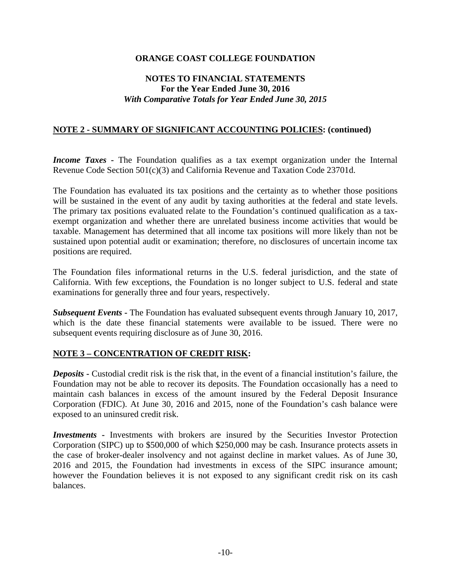# **NOTES TO FINANCIAL STATEMENTS For the Year Ended June 30, 2016**  *With Comparative Totals for Year Ended June 30, 2015*

### **NOTE 2 - SUMMARY OF SIGNIFICANT ACCOUNTING POLICIES: (continued)**

*Income Taxes* **-** The Foundation qualifies as a tax exempt organization under the Internal Revenue Code Section 501(c)(3) and California Revenue and Taxation Code 23701d.

The Foundation has evaluated its tax positions and the certainty as to whether those positions will be sustained in the event of any audit by taxing authorities at the federal and state levels. The primary tax positions evaluated relate to the Foundation's continued qualification as a taxexempt organization and whether there are unrelated business income activities that would be taxable. Management has determined that all income tax positions will more likely than not be sustained upon potential audit or examination; therefore, no disclosures of uncertain income tax positions are required.

The Foundation files informational returns in the U.S. federal jurisdiction, and the state of California. With few exceptions, the Foundation is no longer subject to U.S. federal and state examinations for generally three and four years, respectively.

*Subsequent Events* **-** The Foundation has evaluated subsequent events through January 10, 2017, which is the date these financial statements were available to be issued. There were no subsequent events requiring disclosure as of June 30, 2016.

#### **NOTE 3 – CONCENTRATION OF CREDIT RISK:**

*Deposits* - Custodial credit risk is the risk that, in the event of a financial institution's failure, the Foundation may not be able to recover its deposits. The Foundation occasionally has a need to maintain cash balances in excess of the amount insured by the Federal Deposit Insurance Corporation (FDIC). At June 30, 2016 and 2015, none of the Foundation's cash balance were exposed to an uninsured credit risk.

*Investments* **-** Investments with brokers are insured by the Securities Investor Protection Corporation (SIPC) up to \$500,000 of which \$250,000 may be cash. Insurance protects assets in the case of broker-dealer insolvency and not against decline in market values. As of June 30, 2016 and 2015, the Foundation had investments in excess of the SIPC insurance amount; however the Foundation believes it is not exposed to any significant credit risk on its cash balances.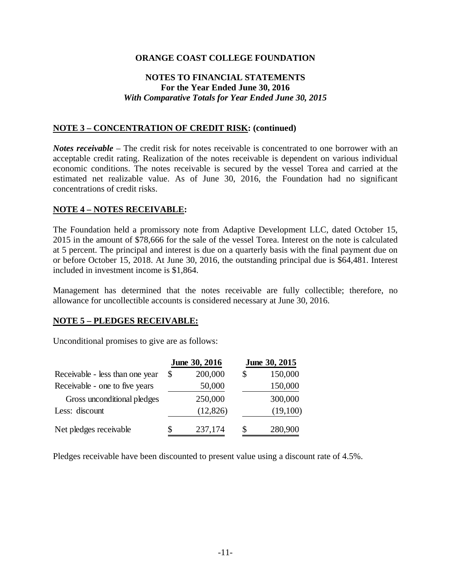# **NOTES TO FINANCIAL STATEMENTS For the Year Ended June 30, 2016**  *With Comparative Totals for Year Ended June 30, 2015*

#### **NOTE 3 – CONCENTRATION OF CREDIT RISK: (continued)**

*Notes receivable* – The credit risk for notes receivable is concentrated to one borrower with an acceptable credit rating. Realization of the notes receivable is dependent on various individual economic conditions. The notes receivable is secured by the vessel Torea and carried at the estimated net realizable value. As of June 30, 2016, the Foundation had no significant concentrations of credit risks.

#### **NOTE 4 – NOTES RECEIVABLE:**

The Foundation held a promissory note from Adaptive Development LLC, dated October 15, 2015 in the amount of \$78,666 for the sale of the vessel Torea. Interest on the note is calculated at 5 percent. The principal and interest is due on a quarterly basis with the final payment due on or before October 15, 2018. At June 30, 2016, the outstanding principal due is \$64,481. Interest included in investment income is \$1,864.

Management has determined that the notes receivable are fully collectible; therefore, no allowance for uncollectible accounts is considered necessary at June 30, 2016.

#### **NOTE 5 – PLEDGES RECEIVABLE:**

Unconditional promises to give are as follows:

|                                 |    | June 30, 2016 | June 30, 2015 |          |  |
|---------------------------------|----|---------------|---------------|----------|--|
| Receivable - less than one year | \$ | 200,000       | \$            | 150,000  |  |
| Receivable - one to five years  |    | 50,000        |               | 150,000  |  |
| Gross unconditional pledges     |    | 250,000       |               | 300,000  |  |
| Less: discount                  |    | (12, 826)     |               | (19,100) |  |
| Net pledges receivable          | S  | 237,174       | \$            | 280,900  |  |

Pledges receivable have been discounted to present value using a discount rate of 4.5%.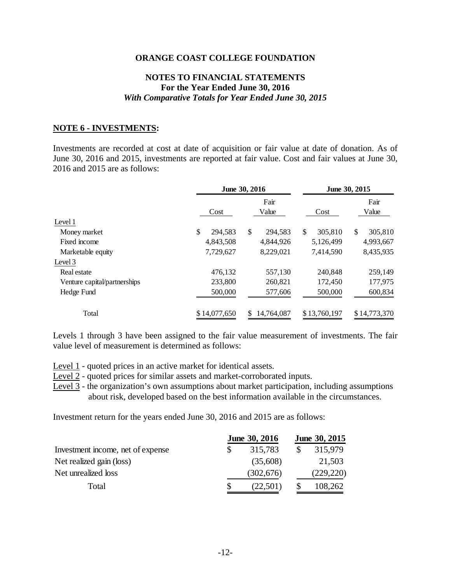#### **NOTES TO FINANCIAL STATEMENTS For the Year Ended June 30, 2016**  *With Comparative Totals for Year Ended June 30, 2015*

#### **NOTE 6 - INVESTMENTS:**

Investments are recorded at cost at date of acquisition or fair value at date of donation. As of June 30, 2016 and 2015, investments are reported at fair value. Cost and fair values at June 30, 2016 and 2015 are as follows:

|                              |               | June 30, 2016    | June 30, 2015 |               |  |  |
|------------------------------|---------------|------------------|---------------|---------------|--|--|
|                              | Cost          | Fair<br>Value    | Cost          | Fair<br>Value |  |  |
| Level 1                      |               |                  |               |               |  |  |
| Money market                 | \$<br>294.583 | \$<br>294,583    | \$<br>305,810 | \$<br>305,810 |  |  |
| Fixed income                 | 4,843,508     | 4,844,926        | 5,126,499     | 4,993,667     |  |  |
| Marketable equity            | 7,729,627     | 8,229,021        | 7,414,590     | 8,435,935     |  |  |
| Level 3                      |               |                  |               |               |  |  |
| Real estate                  | 476.132       | 557,130          | 240.848       | 259,149       |  |  |
| Venture capital/partnerships | 233,800       | 260,821          | 172,450       | 177,975       |  |  |
| Hedge Fund                   | 500,000       | 577,606          | 500,000       | 600,834       |  |  |
| Total                        | \$14,077,650  | 14,764,087<br>S. | \$13,760,197  | \$14,773,370  |  |  |

Levels 1 through 3 have been assigned to the fair value measurement of investments. The fair value level of measurement is determined as follows:

Level 1 - quoted prices in an active market for identical assets.

Level 2 - quoted prices for similar assets and market-corroborated inputs.

Level 3 - the organization's own assumptions about market participation, including assumptions about risk, developed based on the best information available in the circumstances.

Investment return for the years ended June 30, 2016 and 2015 are as follows:

|                                   | June 30, 2016 | June 30, 2015 |            |
|-----------------------------------|---------------|---------------|------------|
| Investment income, net of expense |               | 315,783       | 315,979    |
| Net realized gain (loss)          |               | (35,608)      | 21,503     |
| Net unrealized loss               |               | (302, 676)    | (229, 220) |
| Total                             |               | (22,501)      | 108,262    |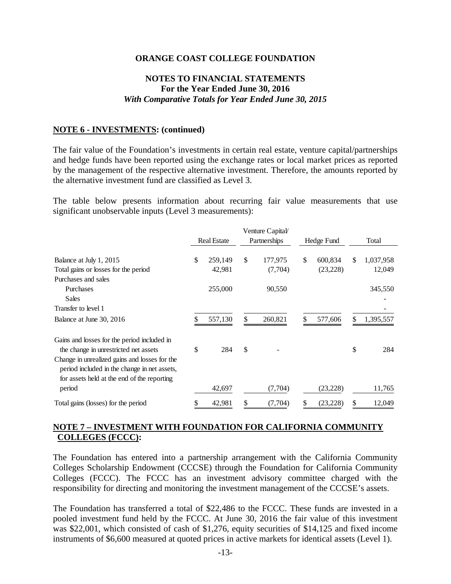### **NOTES TO FINANCIAL STATEMENTS For the Year Ended June 30, 2016**  *With Comparative Totals for Year Ended June 30, 2015*

#### **NOTE 6 - INVESTMENTS: (continued)**

The fair value of the Foundation's investments in certain real estate, venture capital/partnerships and hedge funds have been reported using the exchange rates or local market prices as reported by the management of the respective alternative investment. Therefore, the amounts reported by the alternative investment fund are classified as Level 3.

The table below presents information about recurring fair value measurements that use significant unobservable inputs (Level 3 measurements):

|                                               |                    | Venture Capital/ |                 |    |           |
|-----------------------------------------------|--------------------|------------------|-----------------|----|-----------|
|                                               | <b>Real Estate</b> | Partnerships     | Hedge Fund      |    | Total     |
|                                               |                    |                  |                 |    |           |
| Balance at July 1, 2015                       | \$<br>259,149      | \$<br>177,975    | \$<br>600,834   | \$ | 1,037,958 |
| Total gains or losses for the period          | 42,981             | (7,704)          | (23, 228)       |    | 12,049    |
| Purchases and sales                           |                    |                  |                 |    |           |
| Purchases                                     | 255,000            | 90,550           |                 |    | 345,550   |
| Sales                                         |                    |                  |                 |    |           |
| Transfer to level 1                           |                    |                  |                 |    |           |
| Balance at June 30, 2016                      | 557,130            | \$<br>260,821    | \$<br>577,606   | S  | 1,395,557 |
| Gains and losses for the period included in   |                    |                  |                 |    |           |
| the change in unrestricted net assets         | \$<br>284          | \$               |                 | \$ | 284       |
| Change in unrealized gains and losses for the |                    |                  |                 |    |           |
| period included in the change in net assets,  |                    |                  |                 |    |           |
| for assets held at the end of the reporting   |                    |                  |                 |    |           |
| period                                        | 42,697             | (7,704)          | (23, 228)       |    | 11,765    |
| Total gains (losses) for the period           | 42,981             | \$<br>(7,704)    | \$<br>(23, 228) | S  | 12,049    |

## **NOTE 7 – INVESTMENT WITH FOUNDATION FOR CALIFORNIA COMMUNITY COLLEGES (FCCC):**

The Foundation has entered into a partnership arrangement with the California Community Colleges Scholarship Endowment (CCCSE) through the Foundation for California Community Colleges (FCCC). The FCCC has an investment advisory committee charged with the responsibility for directing and monitoring the investment management of the CCCSE's assets.

The Foundation has transferred a total of \$22,486 to the FCCC. These funds are invested in a pooled investment fund held by the FCCC. At June 30, 2016 the fair value of this investment was \$22,001, which consisted of cash of \$1,276, equity securities of \$14,125 and fixed income instruments of \$6,600 measured at quoted prices in active markets for identical assets (Level 1).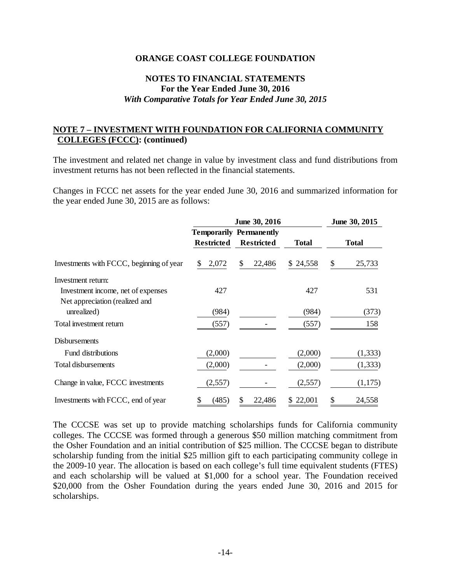#### **NOTES TO FINANCIAL STATEMENTS For the Year Ended June 30, 2016**  *With Comparative Totals for Year Ended June 30, 2015*

### **NOTE 7 – INVESTMENT WITH FOUNDATION FOR CALIFORNIA COMMUNITY COLLEGES (FCCC): (continued)**

The investment and related net change in value by investment class and fund distributions from investment returns has not been reflected in the financial statements.

Changes in FCCC net assets for the year ended June 30, 2016 and summarized information for the year ended June 30, 2015 are as follows:

|                                          |                   | June 30, 2015                  |              |              |
|------------------------------------------|-------------------|--------------------------------|--------------|--------------|
|                                          |                   | <b>Temporarily Permanently</b> |              |              |
|                                          | <b>Restricted</b> | <b>Restricted</b>              | <b>Total</b> | <b>Total</b> |
| Investments with FCCC, beginning of year | 2,072<br>\$       | 22,486<br>\$                   | \$24,558     | \$<br>25,733 |
| Investment return:                       |                   |                                |              |              |
| Investment income, net of expenses       | 427               |                                | 427          | 531          |
| Net appreciation (realized and           |                   |                                |              |              |
| unrealized)                              | (984)             |                                | (984)        | (373)        |
| Total investment return                  | (557)             |                                | (557)        | 158          |
| <b>Disbursements</b>                     |                   |                                |              |              |
| <b>Fund distributions</b>                | (2,000)           |                                | (2,000)      | (1, 333)     |
| Total disbursements                      | (2,000)           |                                | (2,000)      | (1, 333)     |
| Change in value, FCCC investments        | (2,557)           |                                | (2,557)      | (1,175)      |
| Investments with FCCC, end of year       | (485)             | 22,486<br>\$                   | \$22,001     | 24,558<br>S  |

The CCCSE was set up to provide matching scholarships funds for California community colleges. The CCCSE was formed through a generous \$50 million matching commitment from the Osher Foundation and an initial contribution of \$25 million. The CCCSE began to distribute scholarship funding from the initial \$25 million gift to each participating community college in the 2009-10 year. The allocation is based on each college's full time equivalent students (FTES) and each scholarship will be valued at \$1,000 for a school year. The Foundation received \$20,000 from the Osher Foundation during the years ended June 30, 2016 and 2015 for scholarships.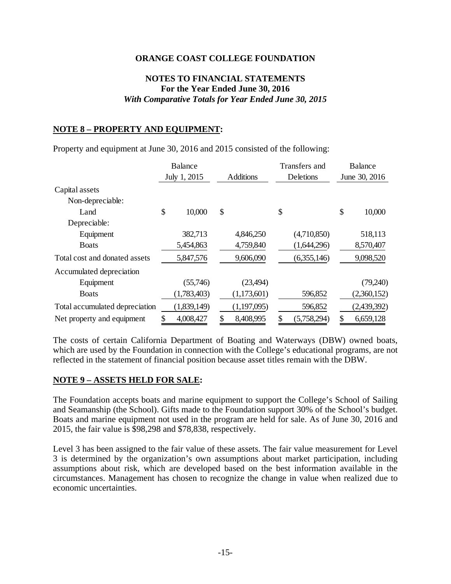# **NOTES TO FINANCIAL STATEMENTS For the Year Ended June 30, 2016**  *With Comparative Totals for Year Ended June 30, 2015*

# **NOTE 8 – PROPERTY AND EQUIPMENT:**

Property and equipment at June 30, 2016 and 2015 consisted of the following:

|                                | <b>Balance</b> |              |    |                  | Transfers and | Balance     |               |             |
|--------------------------------|----------------|--------------|----|------------------|---------------|-------------|---------------|-------------|
|                                |                | July 1, 2015 |    | <b>Additions</b> | Deletions     |             | June 30, 2016 |             |
| Capital assets                 |                |              |    |                  |               |             |               |             |
| Non-depreciable:               |                |              |    |                  |               |             |               |             |
| Land                           | \$             | 10,000       | \$ |                  | \$            |             | \$            | 10,000      |
| Depreciable:                   |                |              |    |                  |               |             |               |             |
| Equipment                      |                | 382,713      |    | 4,846,250        |               | (4,710,850) |               | 518,113     |
| <b>B</b> oats                  |                | 5,454,863    |    | 4,759,840        |               | (1,644,296) |               | 8,570,407   |
| Total cost and donated assets  |                | 5,847,576    |    | 9,606,090        |               | (6,355,146) |               | 9,098,520   |
| Accumulated depreciation       |                |              |    |                  |               |             |               |             |
| Equipment                      |                | (55,746)     |    | (23, 494)        |               |             |               | (79,240)    |
| <b>Boats</b>                   |                | (1,783,403)  |    | (1,173,601)      |               | 596,852     |               | (2,360,152) |
| Total accumulated depreciation |                | (1,839,149)  |    | (1,197,095)      |               | 596,852     |               | (2,439,392) |
| Net property and equipment     |                | 4,008,427    | \$ | 8,408,995        | \$            | (5,758,294) | \$            | 6,659,128   |

The costs of certain California Department of Boating and Waterways (DBW) owned boats, which are used by the Foundation in connection with the College's educational programs, are not reflected in the statement of financial position because asset titles remain with the DBW.

#### **NOTE 9 – ASSETS HELD FOR SALE:**

The Foundation accepts boats and marine equipment to support the College's School of Sailing and Seamanship (the School). Gifts made to the Foundation support 30% of the School's budget. Boats and marine equipment not used in the program are held for sale. As of June 30, 2016 and 2015, the fair value is \$98,298 and \$78,838, respectively.

Level 3 has been assigned to the fair value of these assets. The fair value measurement for Level 3 is determined by the organization's own assumptions about market participation, including assumptions about risk, which are developed based on the best information available in the circumstances. Management has chosen to recognize the change in value when realized due to economic uncertainties.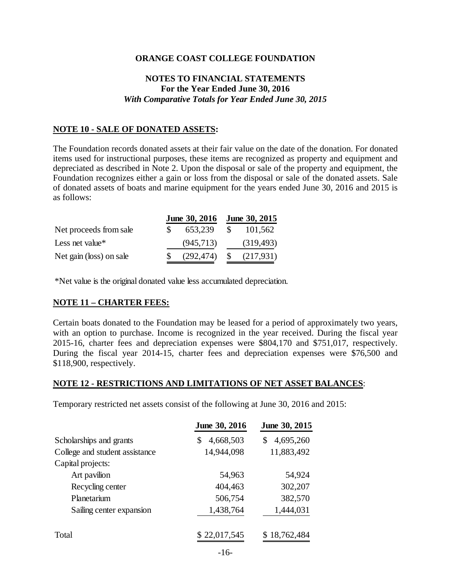# **NOTES TO FINANCIAL STATEMENTS For the Year Ended June 30, 2016**  *With Comparative Totals for Year Ended June 30, 2015*

#### **NOTE 10 - SALE OF DONATED ASSETS:**

The Foundation records donated assets at their fair value on the date of the donation. For donated items used for instructional purposes, these items are recognized as property and equipment and depreciated as described in Note 2. Upon the disposal or sale of the property and equipment, the Foundation recognizes either a gain or loss from the disposal or sale of the donated assets. Sale of donated assets of boats and marine equipment for the years ended June 30, 2016 and 2015 is as follows:

|                         | June 30, 2016 | June 30, 2015 |            |  |  |
|-------------------------|---------------|---------------|------------|--|--|
| Net proceeds from sale  | 653,239       | -SS           | 101,562    |  |  |
| Less net value*         | (945, 713)    |               | (319, 493) |  |  |
| Net gain (loss) on sale | (292, 474)    | $\mathcal{S}$ | (217,931)  |  |  |

\*Net value is the original donated value less accumulated depreciation.

#### **NOTE 11 – CHARTER FEES:**

Certain boats donated to the Foundation may be leased for a period of approximately two years, with an option to purchase. Income is recognized in the year received. During the fiscal year 2015-16, charter fees and depreciation expenses were \$804,170 and \$751,017, respectively. During the fiscal year 2014-15, charter fees and depreciation expenses were \$76,500 and \$118,900, respectively.

#### **NOTE 12 - RESTRICTIONS AND LIMITATIONS OF NET ASSET BALANCES**:

Temporary restricted net assets consist of the following at June 30, 2016 and 2015:

|                                | June 30, 2016   | June 30, 2015  |
|--------------------------------|-----------------|----------------|
| Scholarships and grants        | 4,668,503<br>\$ | 4,695,260<br>S |
| College and student assistance | 14,944,098      | 11,883,492     |
| Capital projects:              |                 |                |
| Art pavilion                   | 54,963          | 54,924         |
| Recycling center               | 404,463         | 302,207        |
| Planetarium                    | 506,754         | 382,570        |
| Sailing center expansion       | 1,438,764       | 1,444,031      |
|                                |                 |                |
| Total                          | \$22,017,545    | \$18,762,484   |